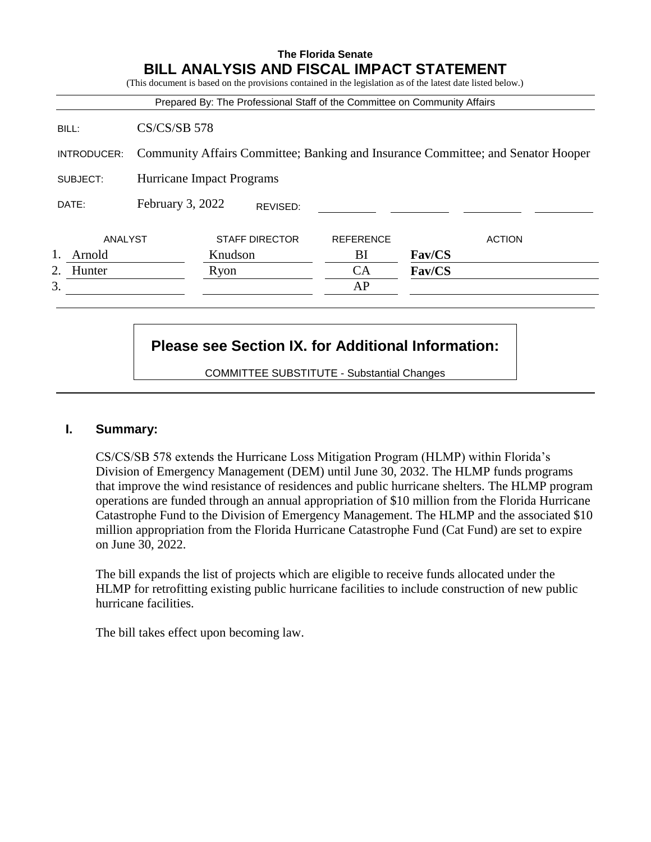# **The Florida Senate BILL ANALYSIS AND FISCAL IMPACT STATEMENT** (This document is based on the provisions contained in the legislation as of the latest date listed below.) Prepared By: The Professional Staff of the Committee on Community Affairs BILL: CS/CS/SB 578 INTRODUCER: Community Affairs Committee; Banking and Insurance Committee; and Senator Hooper SUBJECT: Hurricane Impact Programs DATE: February 3, 2022 ANALYST STAFF DIRECTOR REFERENCE ACTION 1. Arnold Knudson BI **Fav/CS** 2. Hunter Ryon CA **Fav/CS**  $3.$  AP REVISED:

## **Please see Section IX. for Additional Information:**

COMMITTEE SUBSTITUTE - Substantial Changes

## **I. Summary:**

CS/CS/SB 578 extends the Hurricane Loss Mitigation Program (HLMP) within Florida's Division of Emergency Management (DEM) until June 30, 2032. The HLMP funds programs that improve the wind resistance of residences and public hurricane shelters. The HLMP program operations are funded through an annual appropriation of \$10 million from the Florida Hurricane Catastrophe Fund to the Division of Emergency Management. The HLMP and the associated \$10 million appropriation from the Florida Hurricane Catastrophe Fund (Cat Fund) are set to expire on June 30, 2022.

The bill expands the list of projects which are eligible to receive funds allocated under the HLMP for retrofitting existing public hurricane facilities to include construction of new public hurricane facilities.

The bill takes effect upon becoming law.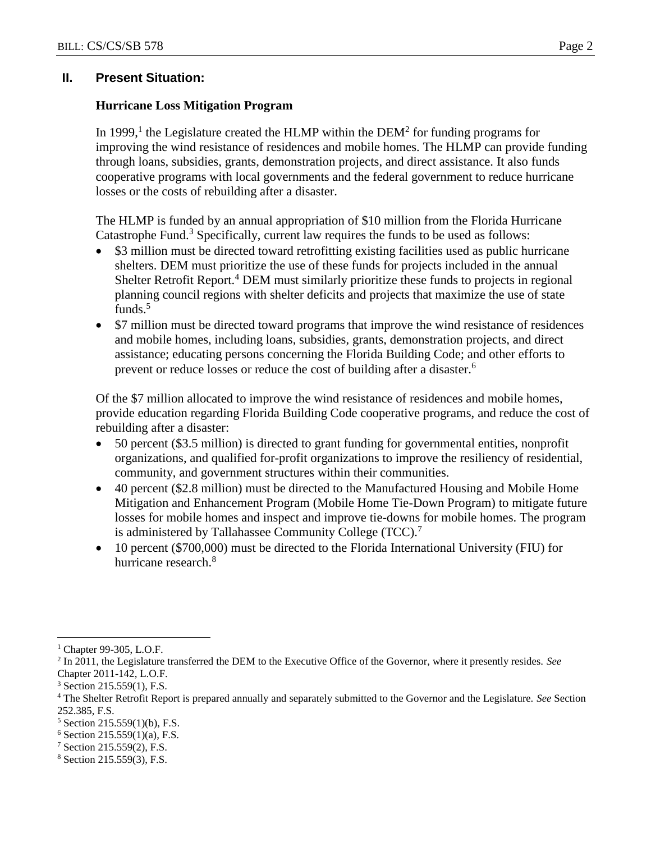## **II. Present Situation:**

### **Hurricane Loss Mitigation Program**

In 1999,<sup>1</sup> the Legislature created the HLMP within the DEM<sup>2</sup> for funding programs for improving the wind resistance of residences and mobile homes. The HLMP can provide funding through loans, subsidies, grants, demonstration projects, and direct assistance. It also funds cooperative programs with local governments and the federal government to reduce hurricane losses or the costs of rebuilding after a disaster.

The HLMP is funded by an annual appropriation of \$10 million from the Florida Hurricane Catastrophe Fund.<sup>3</sup> Specifically, current law requires the funds to be used as follows:

- \$3 million must be directed toward retrofitting existing facilities used as public hurricane shelters. DEM must prioritize the use of these funds for projects included in the annual Shelter Retrofit Report.<sup>4</sup> DEM must similarly prioritize these funds to projects in regional planning council regions with shelter deficits and projects that maximize the use of state funds.<sup>5</sup>
- \$7 million must be directed toward programs that improve the wind resistance of residences and mobile homes, including loans, subsidies, grants, demonstration projects, and direct assistance; educating persons concerning the Florida Building Code; and other efforts to prevent or reduce losses or reduce the cost of building after a disaster.<sup>6</sup>

Of the \$7 million allocated to improve the wind resistance of residences and mobile homes, provide education regarding Florida Building Code cooperative programs, and reduce the cost of rebuilding after a disaster:

- 50 percent (\$3.5 million) is directed to grant funding for governmental entities, nonprofit organizations, and qualified for-profit organizations to improve the resiliency of residential, community, and government structures within their communities.
- 40 percent (\$2.8 million) must be directed to the Manufactured Housing and Mobile Home Mitigation and Enhancement Program (Mobile Home Tie-Down Program) to mitigate future losses for mobile homes and inspect and improve tie-downs for mobile homes. The program is administered by Tallahassee Community College (TCC).<sup>7</sup>
- 10 percent (\$700,000) must be directed to the Florida International University (FIU) for hurricane research.<sup>8</sup>

 $\overline{a}$ 

<sup>7</sup> Section 215.559(2), F.S.

Chapter 99-305, L.O.F.

<sup>2</sup> In 2011, the Legislature transferred the DEM to the Executive Office of the Governor, where it presently resides. *See* Chapter 2011-142, L.O.F.

 $3$  Section 215.559(1), F.S.

<sup>4</sup> The Shelter Retrofit Report is prepared annually and separately submitted to the Governor and the Legislature. *See* Section 252.385, F.S.

<sup>5</sup> Section 215.559(1)(b), F.S.

 $6$  Section 215.559(1)(a), F.S.

<sup>8</sup> Section 215.559(3), F.S.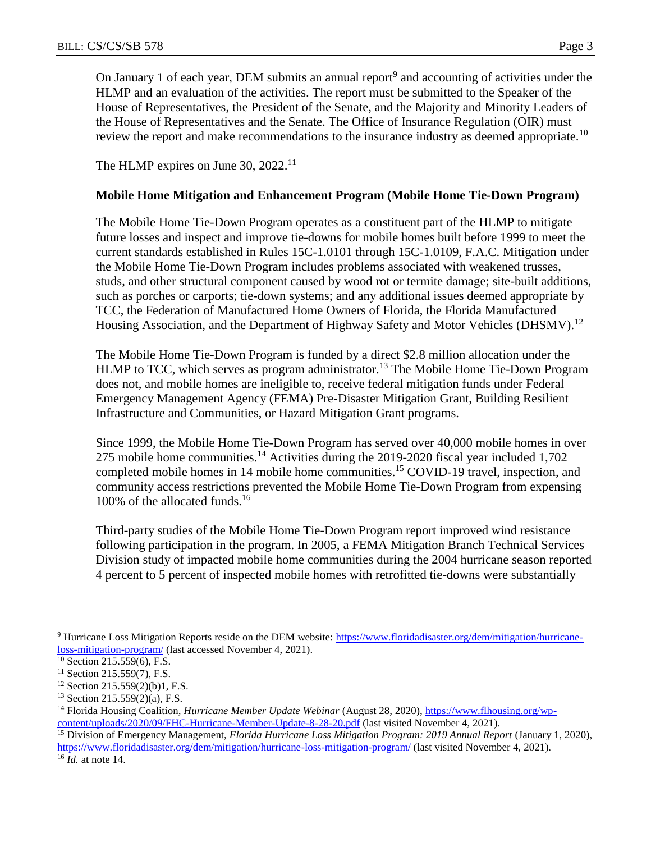On January 1 of each year, DEM submits an annual report<sup>9</sup> and accounting of activities under the HLMP and an evaluation of the activities. The report must be submitted to the Speaker of the House of Representatives, the President of the Senate, and the Majority and Minority Leaders of the House of Representatives and the Senate. The Office of Insurance Regulation (OIR) must review the report and make recommendations to the insurance industry as deemed appropriate.<sup>10</sup>

The HLMP expires on June 30, 2022.<sup>11</sup>

## **Mobile Home Mitigation and Enhancement Program (Mobile Home Tie-Down Program)**

The Mobile Home Tie-Down Program operates as a constituent part of the HLMP to mitigate future losses and inspect and improve tie-downs for mobile homes built before 1999 to meet the current standards established in Rules 15C-1.0101 through 15C-1.0109, F.A.C. Mitigation under the Mobile Home Tie-Down Program includes problems associated with weakened trusses, studs, and other structural component caused by wood rot or termite damage; site-built additions, such as porches or carports; tie-down systems; and any additional issues deemed appropriate by TCC, the Federation of Manufactured Home Owners of Florida, the Florida Manufactured Housing Association, and the Department of Highway Safety and Motor Vehicles (DHSMV).<sup>12</sup>

The Mobile Home Tie-Down Program is funded by a direct \$2.8 million allocation under the HLMP to TCC, which serves as program administrator.<sup>13</sup> The Mobile Home Tie-Down Program does not, and mobile homes are ineligible to, receive federal mitigation funds under Federal Emergency Management Agency (FEMA) Pre-Disaster Mitigation Grant, Building Resilient Infrastructure and Communities, or Hazard Mitigation Grant programs.

Since 1999, the Mobile Home Tie-Down Program has served over 40,000 mobile homes in over 275 mobile home communities.<sup>14</sup> Activities during the 2019-2020 fiscal year included 1,702 completed mobile homes in 14 mobile home communities.<sup>15</sup> COVID-19 travel, inspection, and community access restrictions prevented the Mobile Home Tie-Down Program from expensing 100% of the allocated funds.<sup>16</sup>

Third-party studies of the Mobile Home Tie-Down Program report improved wind resistance following participation in the program. In 2005, a FEMA Mitigation Branch Technical Services Division study of impacted mobile home communities during the 2004 hurricane season reported 4 percent to 5 percent of inspected mobile homes with retrofitted tie-downs were substantially

<sup>&</sup>lt;sup>9</sup> Hurricane Loss Mitigation Reports reside on the DEM website: [https://www.floridadisaster.org/dem/mitigation/hurricane](https://www.floridadisaster.org/dem/mitigation/hurricane-loss-mitigation-program/)[loss-mitigation-program/](https://www.floridadisaster.org/dem/mitigation/hurricane-loss-mitigation-program/) (last accessed November 4, 2021).

 $\frac{10}{10}$  Section 215.559(6), F.S.

 $11$  Section 215.559(7), F.S.

<sup>12</sup> Section 215.559(2)(b)1, F.S.

 $13$  Section 215.559(2)(a), F.S.

<sup>14</sup> Florida Housing Coalition*, Hurricane Member Update Webinar* (August 28, 2020), [https://www.flhousing.org/wp](https://www.flhousing.org/wp-content/uploads/2020/09/FHC-Hurricane-Member-Update-8-28-20.pdf)[content/uploads/2020/09/FHC-Hurricane-Member-Update-8-28-20.pdf](https://www.flhousing.org/wp-content/uploads/2020/09/FHC-Hurricane-Member-Update-8-28-20.pdf) (last visited November 4, 2021).

<sup>15</sup> Division of Emergency Management, *Florida Hurricane Loss Mitigation Program: 2019 Annual Report* (January 1, 2020), <https://www.floridadisaster.org/dem/mitigation/hurricane-loss-mitigation-program/> (last visited November 4, 2021).

<sup>16</sup> *Id.* at note 14.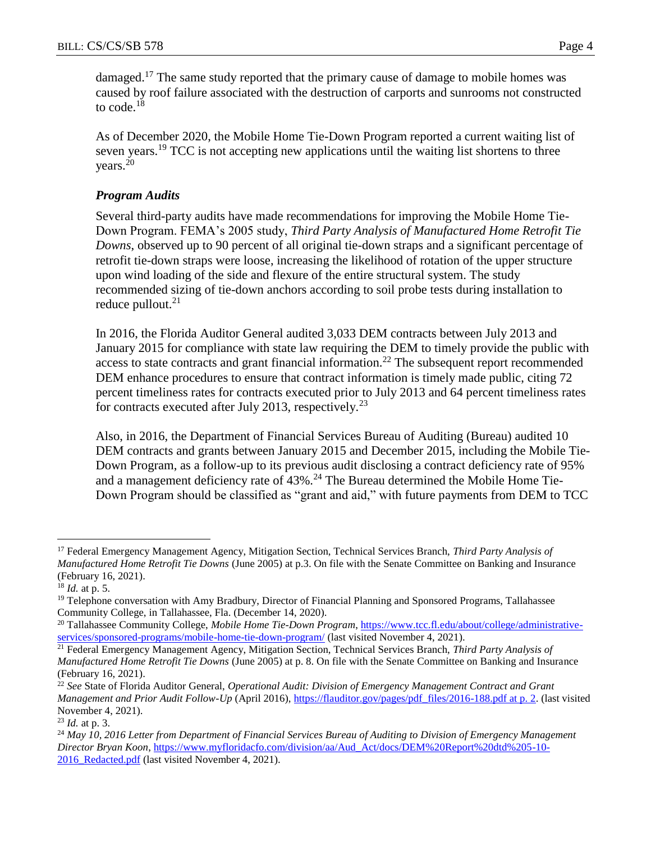damaged.<sup>17</sup> The same study reported that the primary cause of damage to mobile homes was caused by roof failure associated with the destruction of carports and sunrooms not constructed to code.<sup>18</sup>

As of December 2020, the Mobile Home Tie-Down Program reported a current waiting list of seven years.<sup>19</sup> TCC is not accepting new applications until the waiting list shortens to three years.<sup>20</sup>

## *Program Audits*

Several third-party audits have made recommendations for improving the Mobile Home Tie-Down Program. FEMA's 2005 study, *Third Party Analysis of Manufactured Home Retrofit Tie Downs*, observed up to 90 percent of all original tie-down straps and a significant percentage of retrofit tie-down straps were loose, increasing the likelihood of rotation of the upper structure upon wind loading of the side and flexure of the entire structural system. The study recommended sizing of tie-down anchors according to soil probe tests during installation to reduce pullout. $21$ 

In 2016, the Florida Auditor General audited 3,033 DEM contracts between July 2013 and January 2015 for compliance with state law requiring the DEM to timely provide the public with access to state contracts and grant financial information.<sup>22</sup> The subsequent report recommended DEM enhance procedures to ensure that contract information is timely made public, citing 72 percent timeliness rates for contracts executed prior to July 2013 and 64 percent timeliness rates for contracts executed after July 2013, respectively.<sup>23</sup>

Also, in 2016, the Department of Financial Services Bureau of Auditing (Bureau) audited 10 DEM contracts and grants between January 2015 and December 2015, including the Mobile Tie-Down Program, as a follow-up to its previous audit disclosing a contract deficiency rate of 95% and a management deficiency rate of  $43\%$ .<sup>24</sup> The Bureau determined the Mobile Home Tie-Down Program should be classified as "grant and aid," with future payments from DEM to TCC

<sup>17</sup> Federal Emergency Management Agency, Mitigation Section, Technical Services Branch, *Third Party Analysis of Manufactured Home Retrofit Tie Downs* (June 2005) at p.3. On file with the Senate Committee on Banking and Insurance (February 16, 2021).

<sup>18</sup> *Id.* at p. 5.

<sup>&</sup>lt;sup>19</sup> Telephone conversation with Amy Bradbury, Director of Financial Planning and Sponsored Programs, Tallahassee Community College, in Tallahassee, Fla. (December 14, 2020).

<sup>&</sup>lt;sup>20</sup> Tallahassee Community College, *Mobile Home Tie-Down Program*, [https://www.tcc.fl.edu/about/college/administrative](https://www.tcc.fl.edu/about/college/administrative-services/sponsored-programs/mobile-home-tie-down-program/)[services/sponsored-programs/mobile-home-tie-down-program/](https://www.tcc.fl.edu/about/college/administrative-services/sponsored-programs/mobile-home-tie-down-program/) (last visited November 4, 2021).

<sup>21</sup> Federal Emergency Management Agency, Mitigation Section, Technical Services Branch, *Third Party Analysis of Manufactured Home Retrofit Tie Downs* (June 2005) at p. 8. On file with the Senate Committee on Banking and Insurance (February 16, 2021).

<sup>22</sup> *See* State of Florida Auditor General, *Operational Audit: Division of Emergency Management Contract and Grant Management and Prior Audit Follow-Up* (April 2016), [https://flauditor.gov/pages/pdf\\_files/2016-188.pdf at p. 2.](https://flauditor.gov/pages/pdf_files/2016-188.pdf%20at%20p.%202) (last visited November 4, 2021).

<sup>23</sup> *Id.* at p. 3.

<sup>24</sup> *May 10, 2016 Letter from Department of Financial Services Bureau of Auditing to Division of Emergency Management Director Bryan Koon*, [https://www.myfloridacfo.com/division/aa/Aud\\_Act/docs/DEM%20Report%20dtd%205-10-](https://www.myfloridacfo.com/division/aa/Aud_Act/docs/DEM%20Report%20dtd%205-10-2016_Redacted.pdf) 2016 Redacted.pdf (last visited November 4, 2021).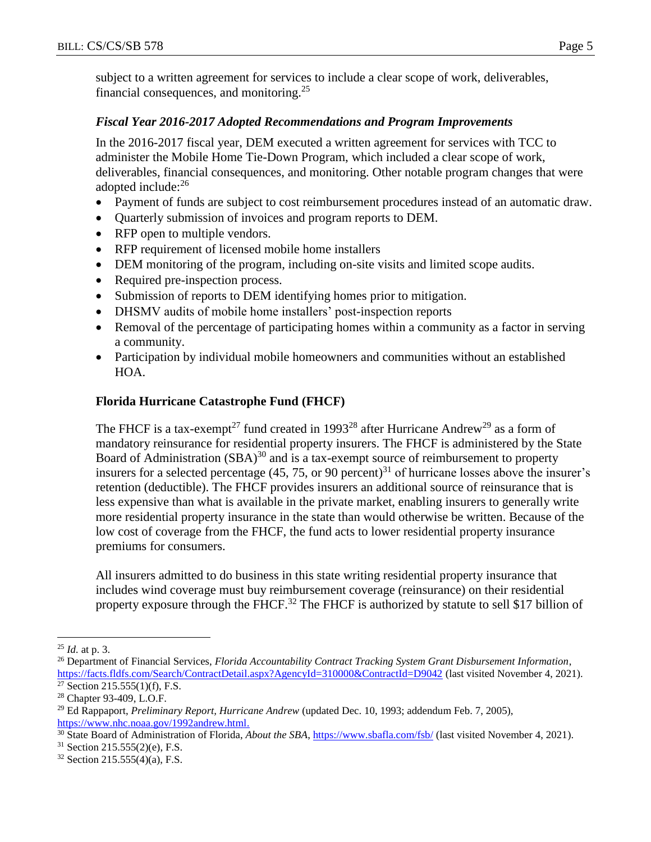subject to a written agreement for services to include a clear scope of work, deliverables, financial consequences, and monitoring.<sup>25</sup>

#### *Fiscal Year 2016-2017 Adopted Recommendations and Program Improvements*

In the 2016-2017 fiscal year, DEM executed a written agreement for services with TCC to administer the Mobile Home Tie-Down Program, which included a clear scope of work, deliverables, financial consequences, and monitoring. Other notable program changes that were adopted include:<sup>26</sup>

- Payment of funds are subject to cost reimbursement procedures instead of an automatic draw.
- Quarterly submission of invoices and program reports to DEM.
- RFP open to multiple vendors.
- RFP requirement of licensed mobile home installers
- DEM monitoring of the program, including on-site visits and limited scope audits.
- Required pre-inspection process.
- Submission of reports to DEM identifying homes prior to mitigation.
- DHSMV audits of mobile home installers' post-inspection reports
- Removal of the percentage of participating homes within a community as a factor in serving a community.
- Participation by individual mobile homeowners and communities without an established HOA.

## **Florida Hurricane Catastrophe Fund (FHCF)**

The FHCF is a tax-exempt<sup>27</sup> fund created in 1993<sup>28</sup> after Hurricane Andrew<sup>29</sup> as a form of mandatory reinsurance for residential property insurers. The FHCF is administered by the State Board of Administration (SBA)<sup>30</sup> and is a tax-exempt source of reimbursement to property insurers for a selected percentage (45, 75, or 90 percent)<sup>31</sup> of hurricane losses above the insurer's retention (deductible). The FHCF provides insurers an additional source of reinsurance that is less expensive than what is available in the private market, enabling insurers to generally write more residential property insurance in the state than would otherwise be written. Because of the low cost of coverage from the FHCF, the fund acts to lower residential property insurance premiums for consumers.

All insurers admitted to do business in this state writing residential property insurance that includes wind coverage must buy reimbursement coverage (reinsurance) on their residential property exposure through the FHCF.<sup>32</sup> The FHCF is authorized by statute to sell \$17 billion of

 $\overline{a}$ <sup>25</sup> *Id.* at p. 3.

<sup>26</sup> Department of Financial Services, *Florida Accountability Contract Tracking System Grant Disbursement Information*, <https://facts.fldfs.com/Search/ContractDetail.aspx?AgencyId=310000&ContractId=D9042> (last visited November 4, 2021).  $27$  Section 215.555(1)(f), F.S.

<sup>28</sup> Chapter 93-409, L.O.F.

<sup>29</sup> Ed Rappaport, *Preliminary Report, Hurricane Andrew* (updated Dec. 10, 1993; addendum Feb. 7, 2005), [https://www.nhc.noaa.gov/1992andrew.html.](https://www.nhc.noaa.gov/1992andrew.html)

<sup>30</sup> State Board of Administration of Florida, *About the SBA*,<https://www.sbafla.com/fsb/> (last visited November 4, 2021).

<sup>31</sup> Section 215.555(2)(e), F.S.

 $32$  Section 215.555(4)(a), F.S.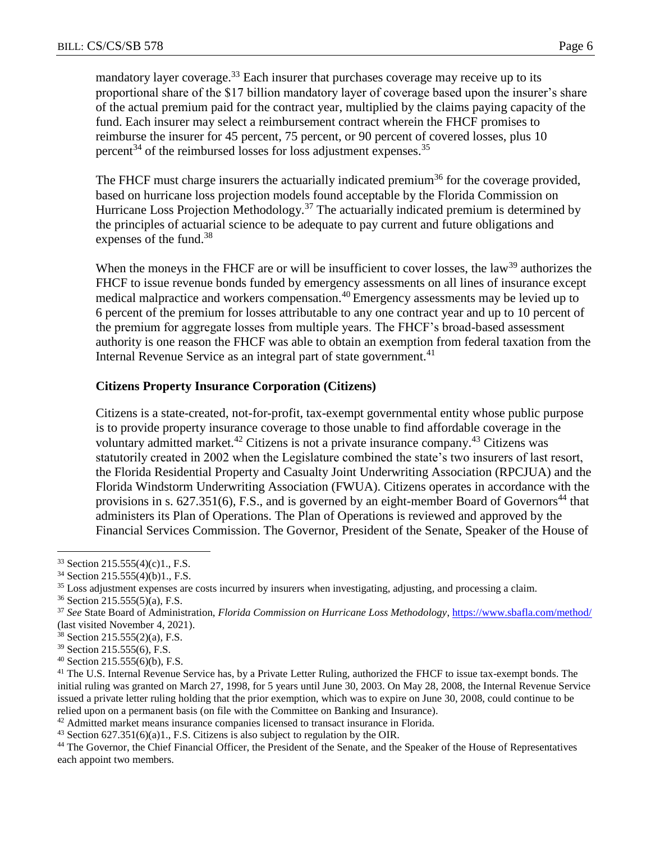mandatory layer coverage.<sup>33</sup> Each insurer that purchases coverage may receive up to its proportional share of the \$17 billion mandatory layer of coverage based upon the insurer's share of the actual premium paid for the contract year, multiplied by the claims paying capacity of the fund. Each insurer may select a reimbursement contract wherein the FHCF promises to reimburse the insurer for 45 percent, 75 percent, or 90 percent of covered losses, plus 10 percent<sup>34</sup> of the reimbursed losses for loss adjustment expenses.<sup>35</sup>

The FHCF must charge insurers the actuarially indicated premium<sup>36</sup> for the coverage provided, based on hurricane loss projection models found acceptable by the Florida Commission on Hurricane Loss Projection Methodology.<sup>37</sup> The actuarially indicated premium is determined by the principles of actuarial science to be adequate to pay current and future obligations and expenses of the fund.<sup>38</sup>

When the moneys in the FHCF are or will be insufficient to cover losses, the law<sup>39</sup> authorizes the FHCF to issue revenue bonds funded by emergency assessments on all lines of insurance except medical malpractice and workers compensation.<sup>40</sup> Emergency assessments may be levied up to 6 percent of the premium for losses attributable to any one contract year and up to 10 percent of the premium for aggregate losses from multiple years. The FHCF's broad-based assessment authority is one reason the FHCF was able to obtain an exemption from federal taxation from the Internal Revenue Service as an integral part of state government.<sup>41</sup>

#### **Citizens Property Insurance Corporation (Citizens)**

Citizens is a state-created, not-for-profit, tax-exempt governmental entity whose public purpose is to provide property insurance coverage to those unable to find affordable coverage in the voluntary admitted market.<sup>42</sup> Citizens is not a private insurance company.<sup>43</sup> Citizens was statutorily created in 2002 when the Legislature combined the state's two insurers of last resort, the Florida Residential Property and Casualty Joint Underwriting Association (RPCJUA) and the Florida Windstorm Underwriting Association (FWUA). Citizens operates in accordance with the provisions in s.  $627.351(6)$ , F.S., and is governed by an eight-member Board of Governors<sup>44</sup> that administers its Plan of Operations. The Plan of Operations is reviewed and approved by the Financial Services Commission. The Governor, President of the Senate, Speaker of the House of

<sup>33</sup> Section 215.555(4)(c)1., F.S.

<sup>34</sup> Section 215.555(4)(b)1., F.S.

<sup>&</sup>lt;sup>35</sup> Loss adjustment expenses are costs incurred by insurers when investigating, adjusting, and processing a claim.

<sup>36</sup> Section 215.555(5)(a), F.S.

<sup>37</sup> *See* State Board of Administration, *Florida Commission on Hurricane Loss Methodology*[, https://www.sbafla.com/method/](https://www.sbafla.com/method/) (last visited November 4, 2021).

<sup>38</sup> Section 215.555(2)(a), F.S.

<sup>39</sup> Section 215.555(6), F.S.

<sup>40</sup> Section 215.555(6)(b), F.S.

<sup>&</sup>lt;sup>41</sup> The U.S. Internal Revenue Service has, by a Private Letter Ruling, authorized the FHCF to issue tax-exempt bonds. The initial ruling was granted on March 27, 1998, for 5 years until June 30, 2003. On May 28, 2008, the Internal Revenue Service issued a private letter ruling holding that the prior exemption, which was to expire on June 30, 2008, could continue to be relied upon on a permanent basis (on file with the Committee on Banking and Insurance).

<sup>&</sup>lt;sup>42</sup> Admitted market means insurance companies licensed to transact insurance in Florida.

<sup>43</sup> Section 627.351(6)(a)1., F.S. Citizens is also subject to regulation by the OIR.

<sup>&</sup>lt;sup>44</sup> The Governor, the Chief Financial Officer, the President of the Senate, and the Speaker of the House of Representatives each appoint two members.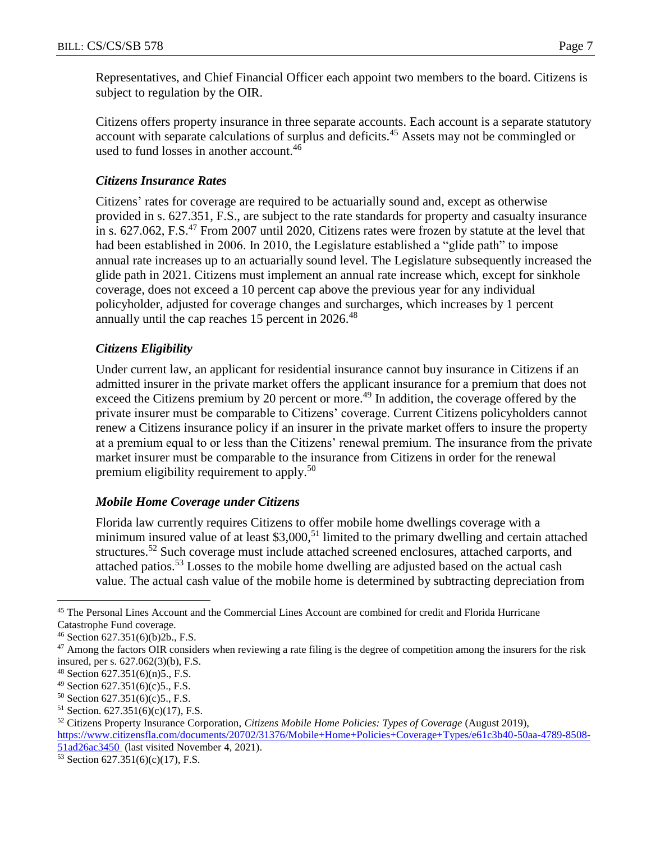Representatives, and Chief Financial Officer each appoint two members to the board. Citizens is subject to regulation by the OIR.

Citizens offers property insurance in three separate accounts. Each account is a separate statutory account with separate calculations of surplus and deficits.<sup>45</sup> Assets may not be commingled or used to fund losses in another account.<sup>46</sup>

### *Citizens Insurance Rates*

Citizens' rates for coverage are required to be actuarially sound and, except as otherwise provided in s. 627.351, F.S., are subject to the rate standards for property and casualty insurance in s. 627.062, F.S.<sup>47</sup> From 2007 until 2020, Citizens rates were frozen by statute at the level that had been established in 2006. In 2010, the Legislature established a "glide path" to impose annual rate increases up to an actuarially sound level. The Legislature subsequently increased the glide path in 2021. Citizens must implement an annual rate increase which, except for sinkhole coverage, does not exceed a 10 percent cap above the previous year for any individual policyholder, adjusted for coverage changes and surcharges, which increases by 1 percent annually until the cap reaches 15 percent in 2026.<sup>48</sup>

## *Citizens Eligibility*

Under current law, an applicant for residential insurance cannot buy insurance in Citizens if an admitted insurer in the private market offers the applicant insurance for a premium that does not exceed the Citizens premium by 20 percent or more.<sup>49</sup> In addition, the coverage offered by the private insurer must be comparable to Citizens' coverage. Current Citizens policyholders cannot renew a Citizens insurance policy if an insurer in the private market offers to insure the property at a premium equal to or less than the Citizens' renewal premium. The insurance from the private market insurer must be comparable to the insurance from Citizens in order for the renewal premium eligibility requirement to apply.<sup>50</sup>

#### *Mobile Home Coverage under Citizens*

Florida law currently requires Citizens to offer mobile home dwellings coverage with a minimum insured value of at least  $$3,000$ ,<sup>51</sup> limited to the primary dwelling and certain attached structures.<sup>52</sup> Such coverage must include attached screened enclosures, attached carports, and attached patios.<sup>53</sup> Losses to the mobile home dwelling are adjusted based on the actual cash value. The actual cash value of the mobile home is determined by subtracting depreciation from

<sup>45</sup> The Personal Lines Account and the Commercial Lines Account are combined for credit and Florida Hurricane Catastrophe Fund coverage.

<sup>46</sup> Section 627.351(6)(b)2b., F.S.

 $47$  Among the factors OIR considers when reviewing a rate filing is the degree of competition among the insurers for the risk insured, per s. 627.062(3)(b), F.S.

<sup>48</sup> Section 627.351(6)(n)5., F.S.

<sup>49</sup> Section 627.351(6)(c)5., F.S.

 $50$  Section 627.351(6)(c)5., F.S.

 $51$  Section. 627.351(6)(c)(17), F.S.

<sup>52</sup> Citizens Property Insurance Corporation, *Citizens Mobile Home Policies: Types of Coverage* (August 2019), [https://www.citizensfla.com/documents/20702/31376/Mobile+Home+Policies+Coverage+Types/e61c3b40-50aa-4789-8508-](https://www.citizensfla.com/documents/20702/31376/Mobile+Home+Policies+Coverage+Types/e61c3b40-50aa-4789-8508-51ad26ac3450)

[<sup>51</sup>ad26ac3450](https://www.citizensfla.com/documents/20702/31376/Mobile+Home+Policies+Coverage+Types/e61c3b40-50aa-4789-8508-51ad26ac3450) (last visited November 4, 2021).

<sup>53</sup> Section 627.351(6)(c)(17), F.S.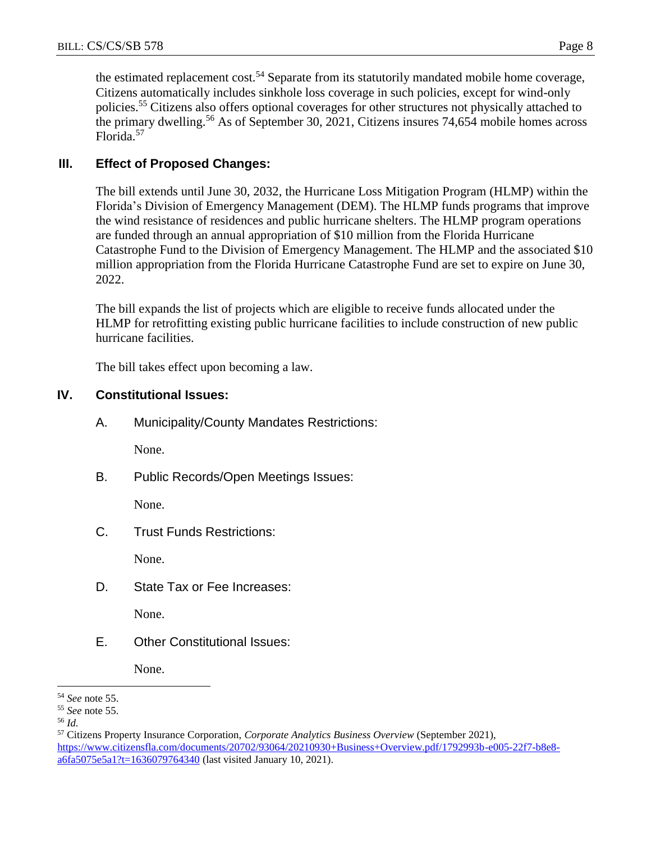the estimated replacement cost.<sup>54</sup> Separate from its statutorily mandated mobile home coverage, Citizens automatically includes sinkhole loss coverage in such policies, except for wind-only policies.<sup>55</sup> Citizens also offers optional coverages for other structures not physically attached to the primary dwelling.<sup>56</sup> As of September 30, 2021, Citizens insures 74,654 mobile homes across Florida.<sup>57</sup>

## **III. Effect of Proposed Changes:**

The bill extends until June 30, 2032, the Hurricane Loss Mitigation Program (HLMP) within the Florida's Division of Emergency Management (DEM). The HLMP funds programs that improve the wind resistance of residences and public hurricane shelters. The HLMP program operations are funded through an annual appropriation of \$10 million from the Florida Hurricane Catastrophe Fund to the Division of Emergency Management. The HLMP and the associated \$10 million appropriation from the Florida Hurricane Catastrophe Fund are set to expire on June 30, 2022.

The bill expands the list of projects which are eligible to receive funds allocated under the HLMP for retrofitting existing public hurricane facilities to include construction of new public hurricane facilities.

The bill takes effect upon becoming a law.

## **IV. Constitutional Issues:**

A. Municipality/County Mandates Restrictions:

None.

B. Public Records/Open Meetings Issues:

None.

C. Trust Funds Restrictions:

None.

D. State Tax or Fee Increases:

None.

E. Other Constitutional Issues:

None.

 $\overline{a}$ <sup>54</sup> *See* note 55.

<sup>55</sup> *See* note 55.

<sup>56</sup> *Id.*

<sup>57</sup> Citizens Property Insurance Corporation, *Corporate Analytics Business Overview* (September 2021), [https://www.citizensfla.com/documents/20702/93064/20210930+Business+Overview.pdf/1792993b-e005-22f7-b8e8](https://www.citizensfla.com/documents/20702/93064/20210930+Business+Overview.pdf/1792993b-e005-22f7-b8e8-a6fa5075e5a1?t=1636079764340) [a6fa5075e5a1?t=1636079764340](https://www.citizensfla.com/documents/20702/93064/20210930+Business+Overview.pdf/1792993b-e005-22f7-b8e8-a6fa5075e5a1?t=1636079764340) (last visited January 10, 2021).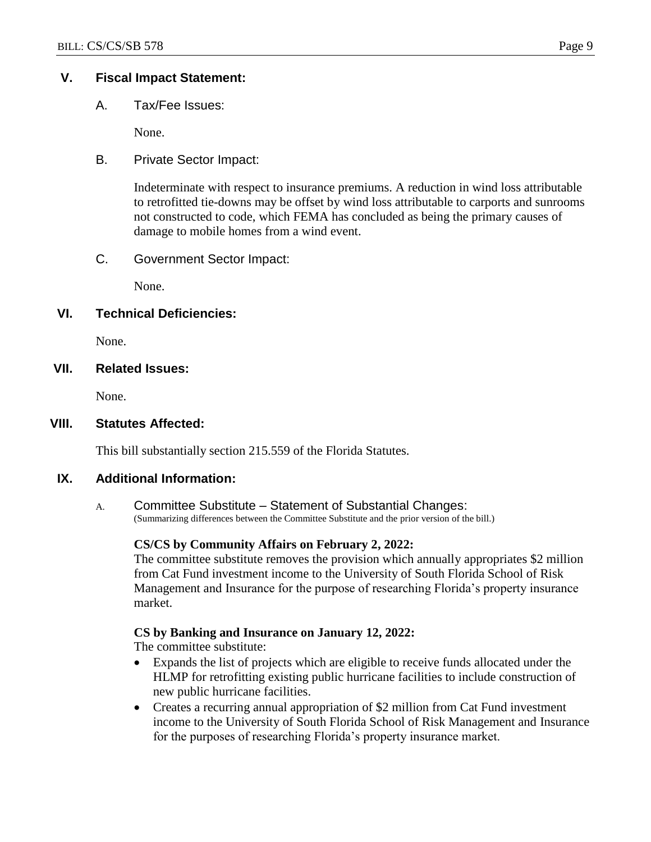## **V. Fiscal Impact Statement:**

A. Tax/Fee Issues:

None.

B. Private Sector Impact:

Indeterminate with respect to insurance premiums. A reduction in wind loss attributable to retrofitted tie-downs may be offset by wind loss attributable to carports and sunrooms not constructed to code, which FEMA has concluded as being the primary causes of damage to mobile homes from a wind event.

C. Government Sector Impact:

None.

## **VI. Technical Deficiencies:**

None.

## **VII. Related Issues:**

None.

## **VIII. Statutes Affected:**

This bill substantially section 215.559 of the Florida Statutes.

## **IX. Additional Information:**

A. Committee Substitute – Statement of Substantial Changes: (Summarizing differences between the Committee Substitute and the prior version of the bill.)

## **CS/CS by Community Affairs on February 2, 2022:**

The committee substitute removes the provision which annually appropriates \$2 million from Cat Fund investment income to the University of South Florida School of Risk Management and Insurance for the purpose of researching Florida's property insurance market.

## **CS by Banking and Insurance on January 12, 2022:**

The committee substitute:

- Expands the list of projects which are eligible to receive funds allocated under the HLMP for retrofitting existing public hurricane facilities to include construction of new public hurricane facilities.
- Creates a recurring annual appropriation of \$2 million from Cat Fund investment income to the University of South Florida School of Risk Management and Insurance for the purposes of researching Florida's property insurance market.